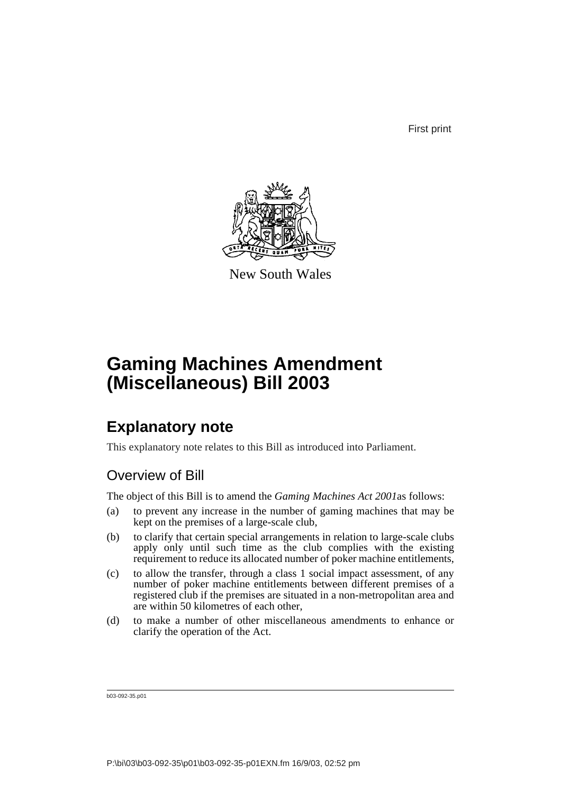First print



New South Wales

# **Gaming Machines Amendment (Miscellaneous) Bill 2003**

## **Explanatory note**

This explanatory note relates to this Bill as introduced into Parliament.

## Overview of Bill

The object of this Bill is to amend the *Gaming Machines Act 2001*as follows:

- (a) to prevent any increase in the number of gaming machines that may be kept on the premises of a large-scale club,
- (b) to clarify that certain special arrangements in relation to large-scale clubs apply only until such time as the club complies with the existing requirement to reduce its allocated number of poker machine entitlements,
- (c) to allow the transfer, through a class 1 social impact assessment, of any number of poker machine entitlements between different premises of a registered club if the premises are situated in a non-metropolitan area and are within 50 kilometres of each other,
- (d) to make a number of other miscellaneous amendments to enhance or clarify the operation of the Act.

b03-092-35.p01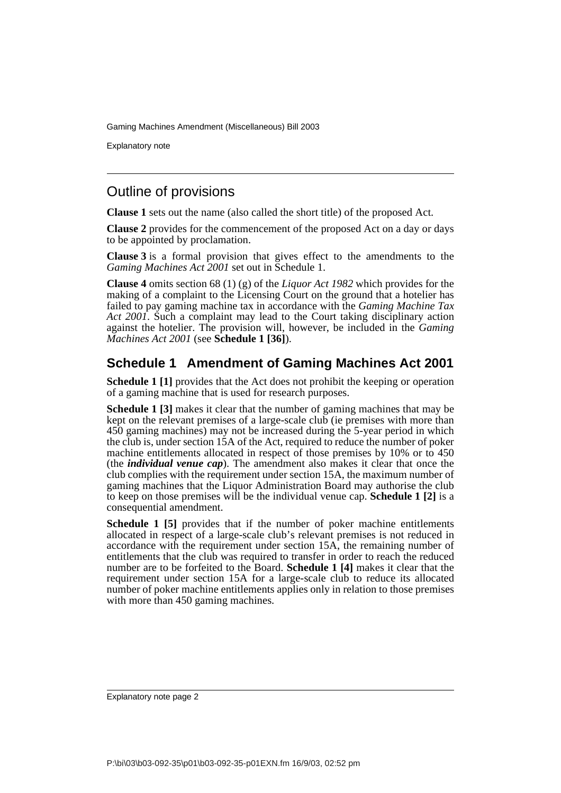Explanatory note

### Outline of provisions

**Clause 1** sets out the name (also called the short title) of the proposed Act.

**Clause 2** provides for the commencement of the proposed Act on a day or days to be appointed by proclamation.

**Clause 3** is a formal provision that gives effect to the amendments to the *Gaming Machines Act 2001* set out in Schedule 1.

**Clause 4** omits section 68 (1) (g) of the *Liquor Act 1982* which provides for the making of a complaint to the Licensing Court on the ground that a hotelier has failed to pay gaming machine tax in accordance with the *Gaming Machine Tax Act 2001*. Such a complaint may lead to the Court taking disciplinary action against the hotelier. The provision will, however, be included in the *Gaming Machines Act 2001* (see **Schedule 1 [36]**).

### **Schedule 1 Amendment of Gaming Machines Act 2001**

**Schedule 1 [1]** provides that the Act does not prohibit the keeping or operation of a gaming machine that is used for research purposes.

**Schedule 1 [3]** makes it clear that the number of gaming machines that may be kept on the relevant premises of a large-scale club (ie premises with more than 450 gaming machines) may not be increased during the 5-year period in which the club is, under section 15A of the Act, required to reduce the number of poker machine entitlements allocated in respect of those premises by 10% or to 450 (the *individual venue cap*). The amendment also makes it clear that once the club complies with the requirement under section 15A, the maximum number of gaming machines that the Liquor Administration Board may authorise the club to keep on those premises will be the individual venue cap. **Schedule 1 [2]** is a consequential amendment.

**Schedule 1 [5]** provides that if the number of poker machine entitlements allocated in respect of a large-scale club's relevant premises is not reduced in accordance with the requirement under section 15A, the remaining number of entitlements that the club was required to transfer in order to reach the reduced number are to be forfeited to the Board. **Schedule 1 [4]** makes it clear that the requirement under section 15A for a large-scale club to reduce its allocated number of poker machine entitlements applies only in relation to those premises with more than 450 gaming machines.

Explanatory note page 2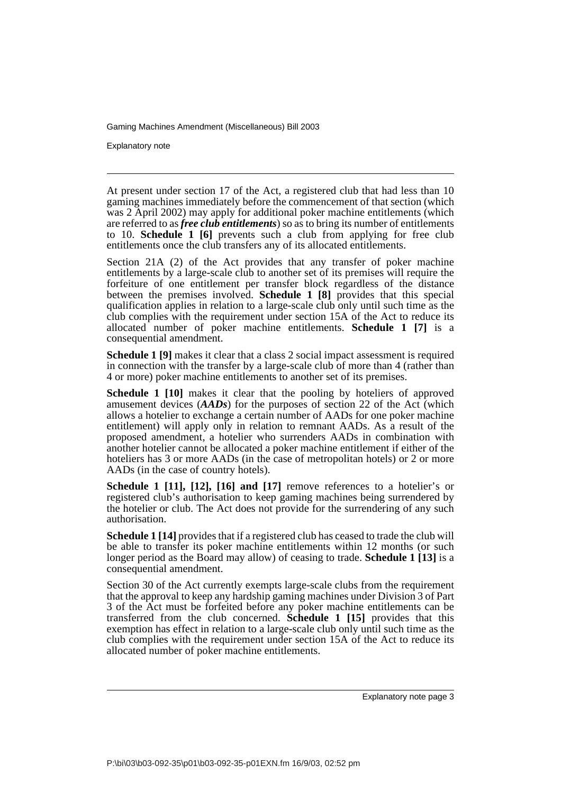Explanatory note

At present under section 17 of the Act, a registered club that had less than 10 gaming machines immediately before the commencement of that section (which was 2 April 2002) may apply for additional poker machine entitlements (which are referred to as *free club entitlements*) so as to bring its number of entitlements to 10. **Schedule 1 [6]** prevents such a club from applying for free club entitlements once the club transfers any of its allocated entitlements.

Section 21A (2) of the Act provides that any transfer of poker machine entitlements by a large-scale club to another set of its premises will require the forfeiture of one entitlement per transfer block regardless of the distance between the premises involved. **Schedule 1 [8]** provides that this special qualification applies in relation to a large-scale club only until such time as the club complies with the requirement under section 15A of the Act to reduce its allocated number of poker machine entitlements. **Schedule 1 [7]** is a consequential amendment.

**Schedule 1 [9]** makes it clear that a class 2 social impact assessment is required in connection with the transfer by a large-scale club of more than 4 (rather than 4 or more) poker machine entitlements to another set of its premises.

**Schedule 1 [10]** makes it clear that the pooling by hoteliers of approved amusement devices (*AADs*) for the purposes of section 22 of the Act (which allows a hotelier to exchange a certain number of AADs for one poker machine entitlement) will apply only in relation to remnant AADs. As a result of the proposed amendment, a hotelier who surrenders AADs in combination with another hotelier cannot be allocated a poker machine entitlement if either of the hoteliers has 3 or more AADs (in the case of metropolitan hotels) or 2 or more AADs (in the case of country hotels).

**Schedule 1 [11], [12], [16] and [17]** remove references to a hotelier's or registered club's authorisation to keep gaming machines being surrendered by the hotelier or club. The Act does not provide for the surrendering of any such authorisation.

**Schedule 1 [14]** provides that if a registered club has ceased to trade the club will be able to transfer its poker machine entitlements within 12 months (or such longer period as the Board may allow) of ceasing to trade. **Schedule 1 [13]** is a consequential amendment.

Section 30 of the Act currently exempts large-scale clubs from the requirement that the approval to keep any hardship gaming machines under Division 3 of Part 3 of the Act must be forfeited before any poker machine entitlements can be transferred from the club concerned. **Schedule 1 [15]** provides that this exemption has effect in relation to a large-scale club only until such time as the club complies with the requirement under section 15A of the Act to reduce its allocated number of poker machine entitlements.

Explanatory note page 3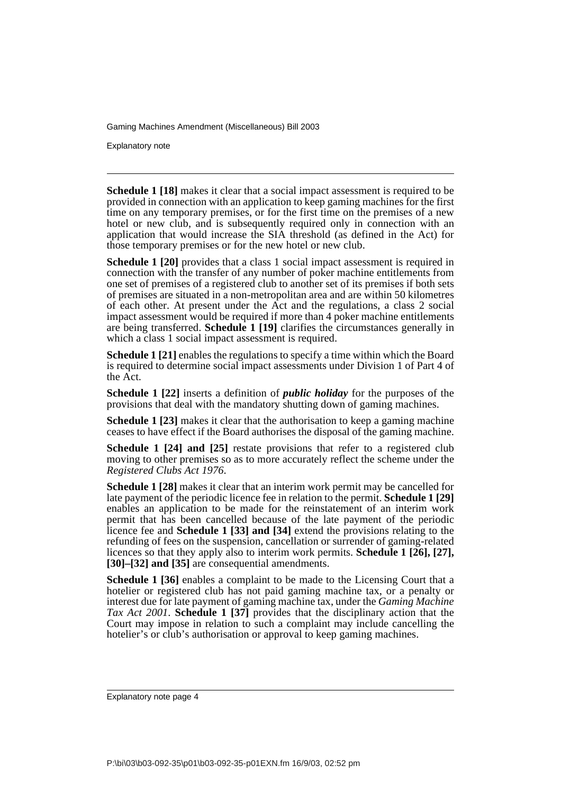Explanatory note

**Schedule 1 [18]** makes it clear that a social impact assessment is required to be provided in connection with an application to keep gaming machines for the first time on any temporary premises, or for the first time on the premises of a new hotel or new club, and is subsequently required only in connection with an application that would increase the SIA threshold (as defined in the Act) for those temporary premises or for the new hotel or new club.

**Schedule 1 [20]** provides that a class 1 social impact assessment is required in connection with the transfer of any number of poker machine entitlements from one set of premises of a registered club to another set of its premises if both sets of premises are situated in a non-metropolitan area and are within 50 kilometres of each other. At present under the Act and the regulations, a class 2 social impact assessment would be required if more than 4 poker machine entitlements are being transferred. **Schedule 1 [19]** clarifies the circumstances generally in which a class 1 social impact assessment is required.

**Schedule 1 [21]** enables the regulations to specify a time within which the Board is required to determine social impact assessments under Division 1 of Part 4 of the Act.

**Schedule 1 [22]** inserts a definition of *public holiday* for the purposes of the provisions that deal with the mandatory shutting down of gaming machines.

**Schedule 1 [23]** makes it clear that the authorisation to keep a gaming machine ceases to have effect if the Board authorises the disposal of the gaming machine.

**Schedule 1 [24] and [25]** restate provisions that refer to a registered club moving to other premises so as to more accurately reflect the scheme under the *Registered Clubs Act 1976*.

**Schedule 1 [28]** makes it clear that an interim work permit may be cancelled for late payment of the periodic licence fee in relation to the permit. **Schedule 1 [29]** enables an application to be made for the reinstatement of an interim work permit that has been cancelled because of the late payment of the periodic licence fee and **Schedule 1 [33] and [34]** extend the provisions relating to the refunding of fees on the suspension, cancellation or surrender of gaming-related licences so that they apply also to interim work permits. **Schedule 1 [26], [27], [30]–[32] and [35]** are consequential amendments.

**Schedule 1 [36]** enables a complaint to be made to the Licensing Court that a hotelier or registered club has not paid gaming machine tax, or a penalty or interest due for late payment of gaming machine tax, under the *Gaming Machine Tax Act 2001*. **Schedule 1 [37]** provides that the disciplinary action that the Court may impose in relation to such a complaint may include cancelling the hotelier's or club's authorisation or approval to keep gaming machines.

Explanatory note page 4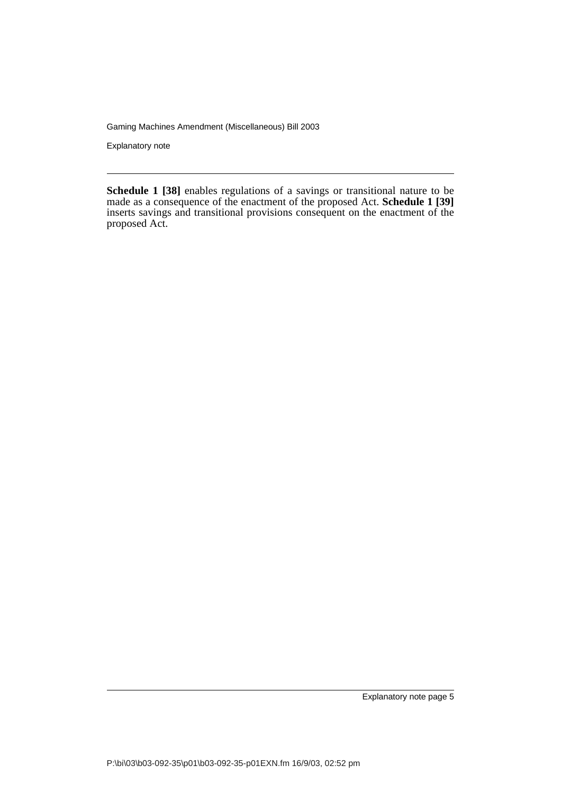Explanatory note

**Schedule 1 [38]** enables regulations of a savings or transitional nature to be made as a consequence of the enactment of the proposed Act. **Schedule 1 [39]** inserts savings and transitional provisions consequent on the enactment of the proposed Act.

Explanatory note page 5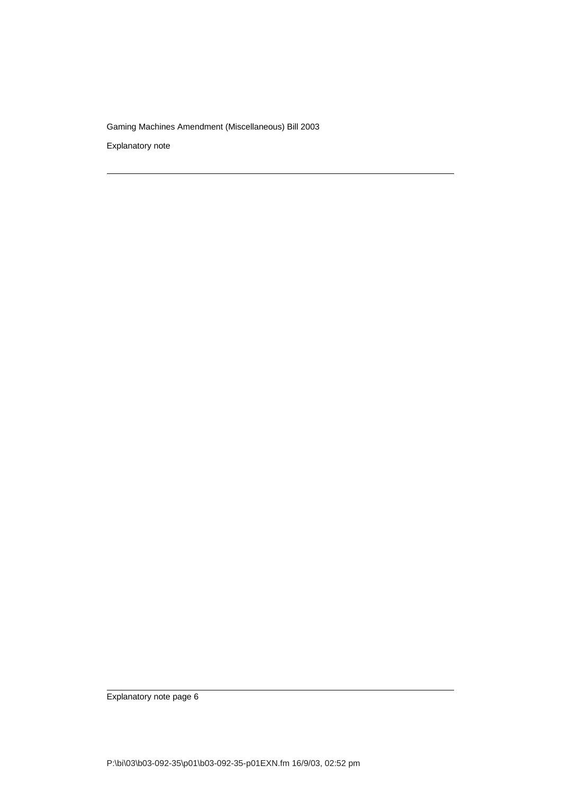Explanatory note

Explanatory note page 6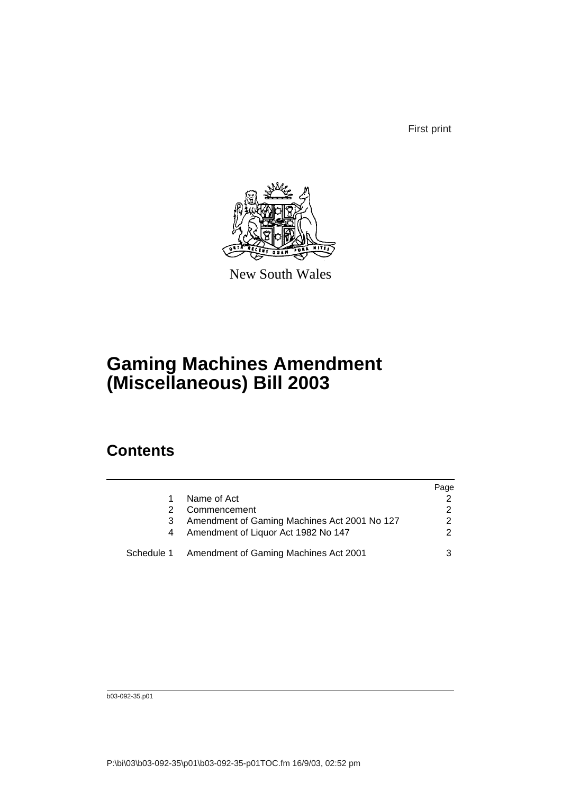First print



New South Wales

# **Gaming Machines Amendment (Miscellaneous) Bill 2003**

## **Contents**

|                                              | Page                                             |
|----------------------------------------------|--------------------------------------------------|
| Name of Act                                  |                                                  |
| Commencement                                 |                                                  |
| Amendment of Gaming Machines Act 2001 No 127 |                                                  |
| Amendment of Liquor Act 1982 No 147          |                                                  |
|                                              |                                                  |
|                                              | Schedule 1 Amendment of Gaming Machines Act 2001 |

b03-092-35.p01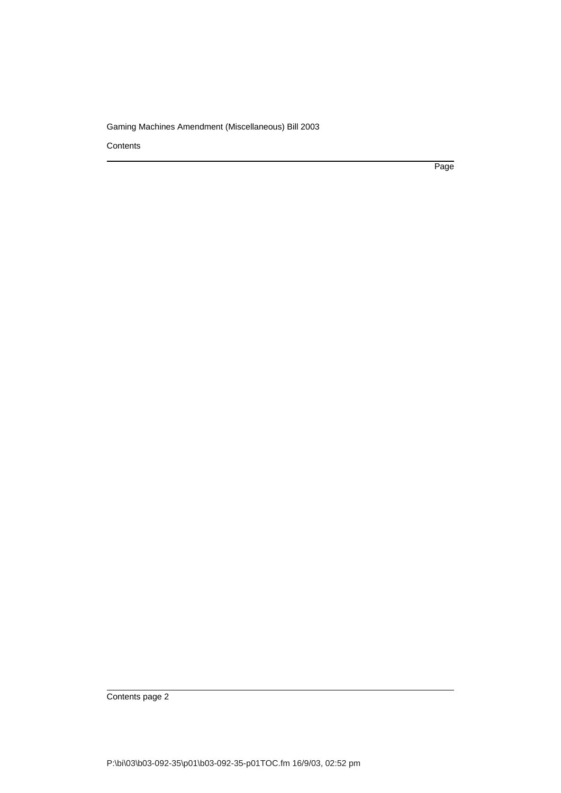**Contents** 

Page

Contents page 2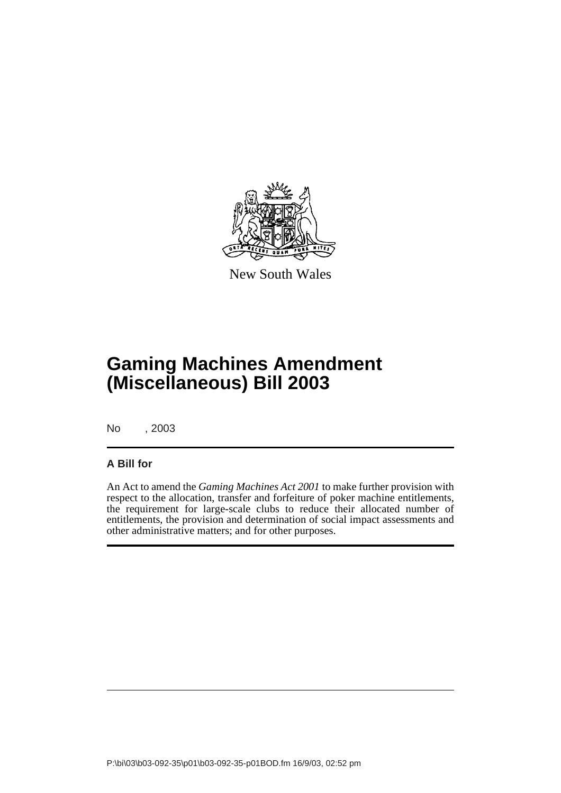

New South Wales

# **Gaming Machines Amendment (Miscellaneous) Bill 2003**

No , 2003

### **A Bill for**

An Act to amend the *Gaming Machines Act 2001* to make further provision with respect to the allocation, transfer and forfeiture of poker machine entitlements, the requirement for large-scale clubs to reduce their allocated number of entitlements, the provision and determination of social impact assessments and other administrative matters; and for other purposes.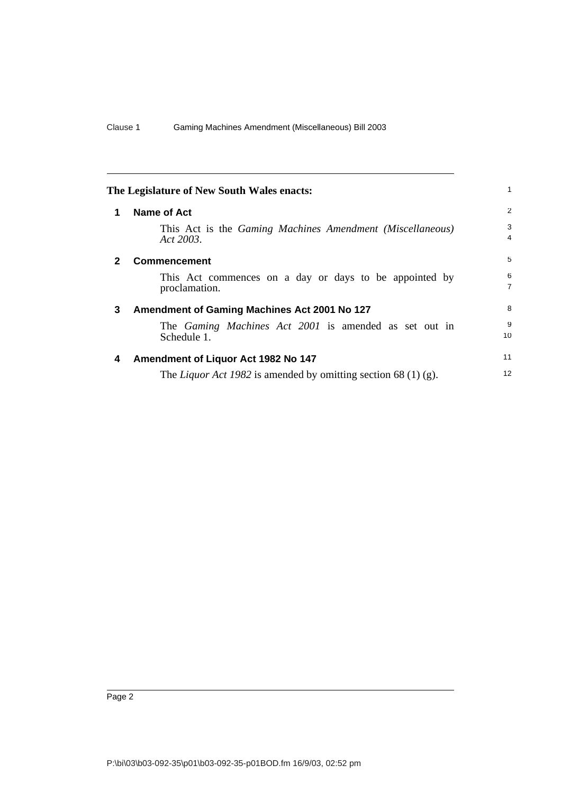<span id="page-9-3"></span><span id="page-9-2"></span><span id="page-9-1"></span><span id="page-9-0"></span>

|              | The Legislature of New South Wales enacts:                                    |                     |
|--------------|-------------------------------------------------------------------------------|---------------------|
| 1            | Name of Act                                                                   | $\overline{2}$      |
|              | This Act is the <i>Gaming Machines Amendment (Miscellaneous)</i><br>Act 2003. | 3<br>$\overline{4}$ |
| $\mathbf{2}$ | <b>Commencement</b>                                                           | 5                   |
|              | This Act commences on a day or days to be appointed by<br>proclamation.       | 6<br>$\overline{7}$ |
| 3            | Amendment of Gaming Machines Act 2001 No 127                                  | 8                   |
|              | The <i>Gaming Machines Act 2001</i> is amended as set out in<br>Schedule 1.   | 9<br>10             |
| 4            | Amendment of Liquor Act 1982 No 147                                           | 11                  |
|              | The <i>Liquor Act 1982</i> is amended by omitting section 68 (1) (g).         | 12                  |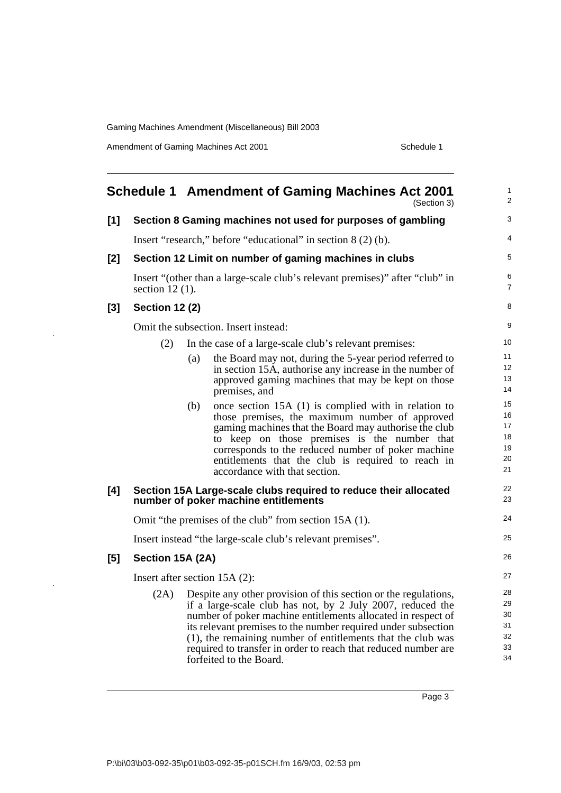Amendment of Gaming Machines Act 2001 and the Schedule 1 Schedule 1

<span id="page-10-0"></span>

|       |                                                                                                          |     | <b>Schedule 1 Amendment of Gaming Machines Act 2001</b><br>(Section 3)                                                                                                                                                                                                                                                                                                                                                     | $\mathbf{1}$<br>2                      |
|-------|----------------------------------------------------------------------------------------------------------|-----|----------------------------------------------------------------------------------------------------------------------------------------------------------------------------------------------------------------------------------------------------------------------------------------------------------------------------------------------------------------------------------------------------------------------------|----------------------------------------|
| $[1]$ |                                                                                                          |     | Section 8 Gaming machines not used for purposes of gambling                                                                                                                                                                                                                                                                                                                                                                | 3                                      |
|       |                                                                                                          |     | Insert "research," before "educational" in section 8 (2) (b).                                                                                                                                                                                                                                                                                                                                                              | $\overline{4}$                         |
| $[2]$ |                                                                                                          |     | Section 12 Limit on number of gaming machines in clubs                                                                                                                                                                                                                                                                                                                                                                     | 5                                      |
|       | section $12(1)$ .                                                                                        |     | Insert "(other than a large-scale club's relevant premises)" after "club" in                                                                                                                                                                                                                                                                                                                                               | 6<br>$\overline{7}$                    |
| $[3]$ | <b>Section 12 (2)</b>                                                                                    |     |                                                                                                                                                                                                                                                                                                                                                                                                                            | 8                                      |
|       |                                                                                                          |     | Omit the subsection. Insert instead:                                                                                                                                                                                                                                                                                                                                                                                       | 9                                      |
|       | (2)                                                                                                      |     | In the case of a large-scale club's relevant premises:                                                                                                                                                                                                                                                                                                                                                                     | 10                                     |
|       |                                                                                                          | (a) | the Board may not, during the 5-year period referred to<br>in section 15A, authorise any increase in the number of<br>approved gaming machines that may be kept on those<br>premises, and                                                                                                                                                                                                                                  | 11<br>12<br>13<br>14                   |
|       |                                                                                                          | (b) | once section 15A (1) is complied with in relation to<br>those premises, the maximum number of approved<br>gaming machines that the Board may authorise the club<br>to keep on those premises is the number that<br>corresponds to the reduced number of poker machine<br>entitlements that the club is required to reach in<br>accordance with that section.                                                               | 15<br>16<br>17<br>18<br>19<br>20<br>21 |
| $[4]$ | Section 15A Large-scale clubs required to reduce their allocated<br>number of poker machine entitlements |     |                                                                                                                                                                                                                                                                                                                                                                                                                            | 22<br>23                               |
|       |                                                                                                          |     | Omit "the premises of the club" from section 15A (1).                                                                                                                                                                                                                                                                                                                                                                      | 24                                     |
|       |                                                                                                          |     | Insert instead "the large-scale club's relevant premises".                                                                                                                                                                                                                                                                                                                                                                 | 25                                     |
| $[5]$ | Section 15A (2A)                                                                                         |     |                                                                                                                                                                                                                                                                                                                                                                                                                            | 26                                     |
|       |                                                                                                          |     | Insert after section $15A(2)$ :                                                                                                                                                                                                                                                                                                                                                                                            | 27                                     |
|       | (2A)                                                                                                     |     | Despite any other provision of this section or the regulations,<br>if a large-scale club has not, by 2 July 2007, reduced the<br>number of poker machine entitlements allocated in respect of<br>its relevant premises to the number required under subsection<br>(1), the remaining number of entitlements that the club was<br>required to transfer in order to reach that reduced number are<br>forfeited to the Board. | 28<br>29<br>30<br>31<br>32<br>33<br>34 |

Page 3

 $\ddot{\phantom{1}}$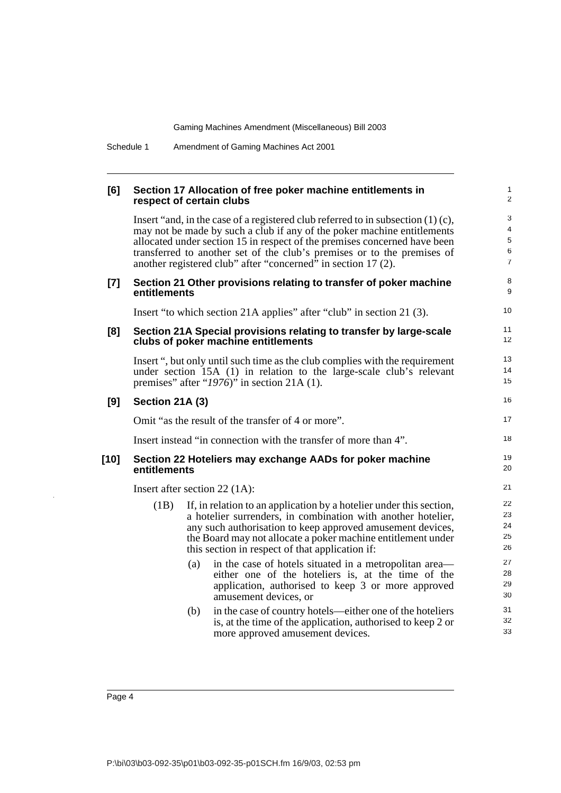### **[6] Section 17 Allocation of free poker machine entitlements in respect of certain clubs**

Insert "and, in the case of a registered club referred to in subsection  $(1)(c)$ , may not be made by such a club if any of the poker machine entitlements allocated under section 15 in respect of the premises concerned have been transferred to another set of the club's premises or to the premises of another registered club" after "concerned" in section 17 (2).

1  $\overline{2}$ 

> 8 9

10

11 12

13 14 15

16

17

18 19 20

### **[7] Section 21 Other provisions relating to transfer of poker machine entitlements**

Insert "to which section 21A applies" after "club" in section 21 (3).

#### **[8] Section 21A Special provisions relating to transfer by large-scale clubs of poker machine entitlements**

Insert ", but only until such time as the club complies with the requirement under section 15A (1) in relation to the large-scale club's relevant premises" after "*1976*)" in section 21A (1).

#### **[9] Section 21A (3)**

Omit "as the result of the transfer of 4 or more".

Insert instead "in connection with the transfer of more than 4".

#### **[10] Section 22 Hoteliers may exchange AADs for poker machine entitlements**

Insert after section 22 (1A):

- (1B) If, in relation to an application by a hotelier under this section, a hotelier surrenders, in combination with another hotelier, any such authorisation to keep approved amusement devices, the Board may not allocate a poker machine entitlement under this section in respect of that application if:
	- (a) in the case of hotels situated in a metropolitan area either one of the hoteliers is, at the time of the application, authorised to keep 3 or more approved amusement devices, or
	- (b) in the case of country hotels—either one of the hoteliers is, at the time of the application, authorised to keep 2 or more approved amusement devices.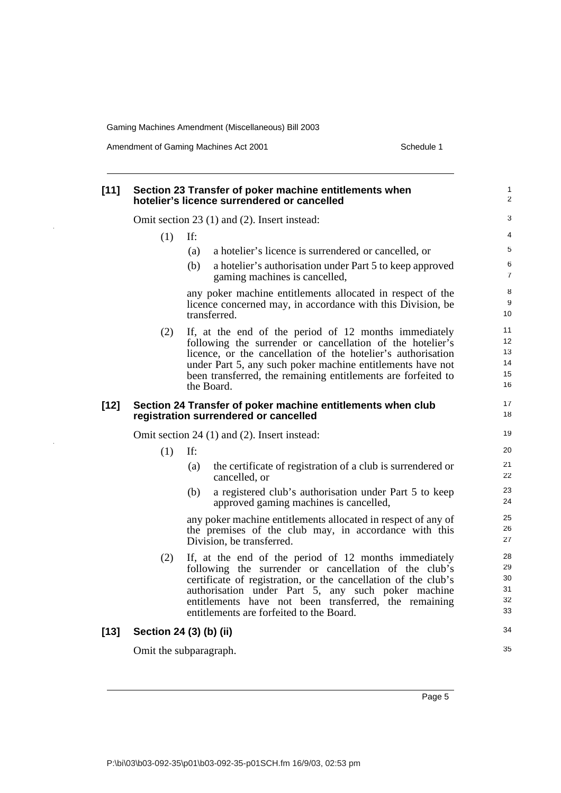Amendment of Gaming Machines Act 2001 and the Schedule 1 Schedule 1

 $\bar{\psi}$ 

 $\bar{z}$ 

| $[11]$ |                                              | Section 23 Transfer of poker machine entitlements when<br>hotelier's licence surrendered or cancelled                                                                                                                                                                                                                                       | 1<br>$\overline{2}$              |  |  |
|--------|----------------------------------------------|---------------------------------------------------------------------------------------------------------------------------------------------------------------------------------------------------------------------------------------------------------------------------------------------------------------------------------------------|----------------------------------|--|--|
|        | Omit section 23 (1) and (2). Insert instead: |                                                                                                                                                                                                                                                                                                                                             |                                  |  |  |
|        | (1)<br>If:                                   |                                                                                                                                                                                                                                                                                                                                             |                                  |  |  |
|        |                                              | a hotelier's licence is surrendered or cancelled, or<br>(a)                                                                                                                                                                                                                                                                                 | 5                                |  |  |
|        |                                              | (b)<br>a hotelier's authorisation under Part 5 to keep approved<br>gaming machines is cancelled,                                                                                                                                                                                                                                            | 6<br>7                           |  |  |
|        |                                              | any poker machine entitlements allocated in respect of the<br>licence concerned may, in accordance with this Division, be<br>transferred.                                                                                                                                                                                                   | 8<br>9<br>10                     |  |  |
|        | (2)                                          | If, at the end of the period of 12 months immediately<br>following the surrender or cancellation of the hotelier's<br>licence, or the cancellation of the hotelier's authorisation<br>under Part 5, any such poker machine entitlements have not<br>been transferred, the remaining entitlements are forfeited to<br>the Board.             | 11<br>12<br>13<br>14<br>15<br>16 |  |  |
| $[12]$ |                                              | Section 24 Transfer of poker machine entitlements when club<br>registration surrendered or cancelled                                                                                                                                                                                                                                        | 17<br>18                         |  |  |
|        | Omit section 24 (1) and (2). Insert instead: |                                                                                                                                                                                                                                                                                                                                             |                                  |  |  |
|        | (1)                                          | If:                                                                                                                                                                                                                                                                                                                                         | 20                               |  |  |
|        |                                              | the certificate of registration of a club is surrendered or<br>(a)<br>cancelled, or                                                                                                                                                                                                                                                         | 21<br>22                         |  |  |
|        |                                              | (b)<br>a registered club's authorisation under Part 5 to keep<br>approved gaming machines is cancelled,                                                                                                                                                                                                                                     | 23<br>24                         |  |  |
|        |                                              | any poker machine entitlements allocated in respect of any of<br>the premises of the club may, in accordance with this<br>Division, be transferred.                                                                                                                                                                                         | 25<br>26<br>27                   |  |  |
|        | (2)                                          | If, at the end of the period of 12 months immediately<br>following the surrender or cancellation of the club's<br>certificate of registration, or the cancellation of the club's<br>authorisation under Part 5, any such poker machine<br>entitlements have not been transferred, the remaining<br>entitlements are forfeited to the Board. | 28<br>29<br>30<br>31<br>32<br>33 |  |  |
| $[13]$ |                                              | Section 24 (3) (b) (ii)                                                                                                                                                                                                                                                                                                                     | 34                               |  |  |
|        |                                              | Omit the subparagraph.                                                                                                                                                                                                                                                                                                                      | 35                               |  |  |

Page 5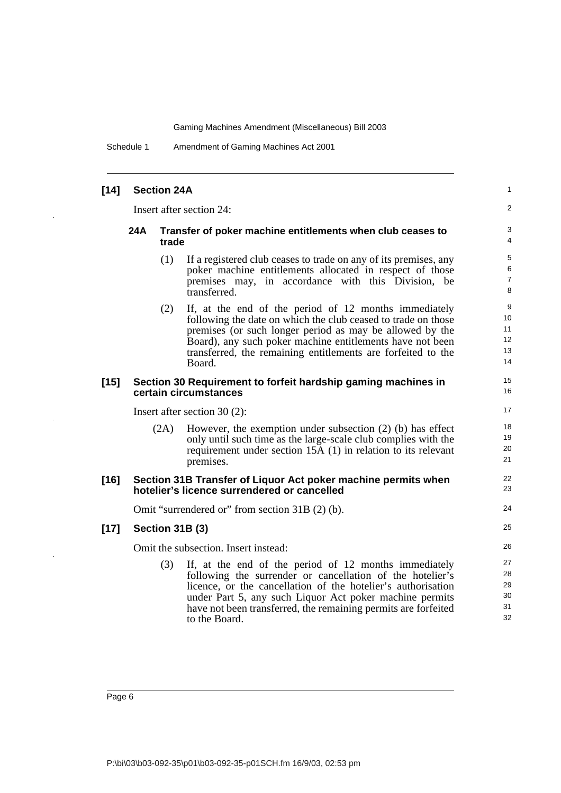Schedule 1 Amendment of Gaming Machines Act 2001

| $[14]$                         |                          | <b>Section 24A</b> |                                                                                                                                                                                                                                                                                                                                  | 1                                |  |  |  |
|--------------------------------|--------------------------|--------------------|----------------------------------------------------------------------------------------------------------------------------------------------------------------------------------------------------------------------------------------------------------------------------------------------------------------------------------|----------------------------------|--|--|--|
|                                | Insert after section 24: |                    |                                                                                                                                                                                                                                                                                                                                  |                                  |  |  |  |
|                                |                          |                    |                                                                                                                                                                                                                                                                                                                                  |                                  |  |  |  |
|                                | 24A                      | trade              | Transfer of poker machine entitlements when club ceases to                                                                                                                                                                                                                                                                       | 3<br>4                           |  |  |  |
|                                |                          | (1)                | If a registered club ceases to trade on any of its premises, any<br>poker machine entitlements allocated in respect of those<br>premises may, in accordance with this Division, be<br>transferred.                                                                                                                               | 5<br>6<br>$\overline{7}$<br>8    |  |  |  |
|                                |                          | (2)                | If, at the end of the period of 12 months immediately<br>following the date on which the club ceased to trade on those<br>premises (or such longer period as may be allowed by the<br>Board), any such poker machine entitlements have not been<br>transferred, the remaining entitlements are forfeited to the<br>Board.        | 9<br>10<br>11<br>12<br>13<br>14  |  |  |  |
| $[15]$                         |                          |                    | Section 30 Requirement to forfeit hardship gaming machines in<br>certain circumstances                                                                                                                                                                                                                                           | 15<br>16                         |  |  |  |
| Insert after section $30(2)$ : |                          |                    |                                                                                                                                                                                                                                                                                                                                  | 17                               |  |  |  |
|                                |                          | (2A)               | However, the exemption under subsection $(2)$ (b) has effect<br>only until such time as the large-scale club complies with the<br>requirement under section $15A(1)$ in relation to its relevant<br>premises.                                                                                                                    | 18<br>19<br>20<br>21             |  |  |  |
| $[16]$                         |                          |                    | Section 31B Transfer of Liquor Act poker machine permits when<br>hotelier's licence surrendered or cancelled                                                                                                                                                                                                                     | 22<br>23                         |  |  |  |
|                                |                          |                    | Omit "surrendered or" from section 31B (2) (b).                                                                                                                                                                                                                                                                                  | 24                               |  |  |  |
| $[17]$                         |                          |                    | <b>Section 31B (3)</b>                                                                                                                                                                                                                                                                                                           | 25                               |  |  |  |
|                                |                          |                    | Omit the subsection. Insert instead:                                                                                                                                                                                                                                                                                             | 26                               |  |  |  |
|                                |                          | (3)                | If, at the end of the period of 12 months immediately<br>following the surrender or cancellation of the hotelier's<br>licence, or the cancellation of the hotelier's authorisation<br>under Part 5, any such Liquor Act poker machine permits<br>have not been transferred, the remaining permits are forfeited<br>to the Board. | 27<br>28<br>29<br>30<br>31<br>32 |  |  |  |

Page 6

J.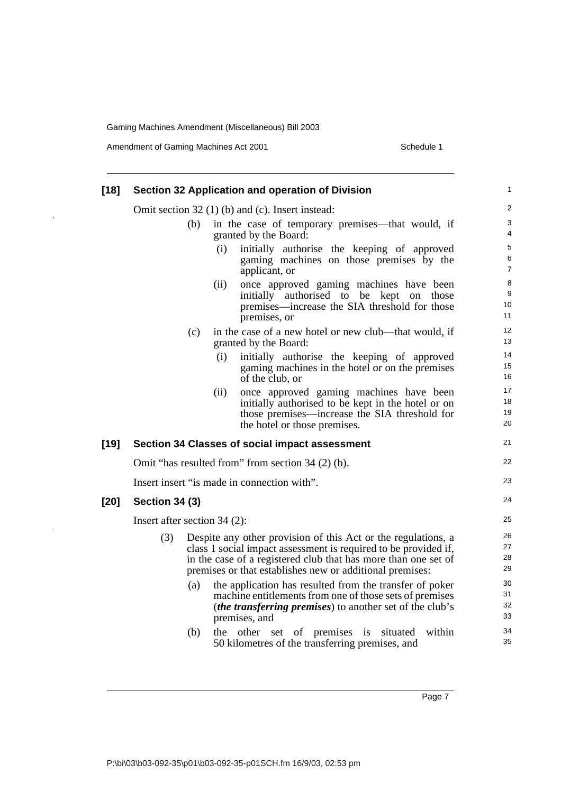Amendment of Gaming Machines Act 2001 and the Schedule 1 Schedule 1

J

| $[18]$ |                                                   |     |      | Section 32 Application and operation of Division                                                                                                                                                                                                               | 1                        |
|--------|---------------------------------------------------|-----|------|----------------------------------------------------------------------------------------------------------------------------------------------------------------------------------------------------------------------------------------------------------------|--------------------------|
|        | Omit section 32 (1) (b) and (c). Insert instead:  |     |      |                                                                                                                                                                                                                                                                | $\overline{\mathbf{c}}$  |
|        |                                                   | (b) |      | in the case of temporary premises—that would, if<br>granted by the Board:                                                                                                                                                                                      | 3<br>4                   |
|        |                                                   |     | (i)  | initially authorise the keeping of approved<br>gaming machines on those premises by the<br>applicant, or                                                                                                                                                       | 5<br>6<br>$\overline{7}$ |
|        |                                                   |     | (ii) | once approved gaming machines have been<br>initially authorised to be kept on<br>those<br>premises—increase the SIA threshold for those<br>premises, or                                                                                                        | 8<br>9<br>10<br>11       |
|        |                                                   | (c) |      | in the case of a new hotel or new club—that would, if<br>granted by the Board:                                                                                                                                                                                 | 12<br>13                 |
|        |                                                   |     | (i)  | initially authorise the keeping of approved<br>gaming machines in the hotel or on the premises<br>of the club, or                                                                                                                                              | 14<br>15<br>16           |
|        |                                                   |     | (ii) | once approved gaming machines have been<br>initially authorised to be kept in the hotel or on<br>those premises—increase the SIA threshold for<br>the hotel or those premises.                                                                                 | 17<br>18<br>19<br>20     |
| $[19]$ |                                                   |     |      | Section 34 Classes of social impact assessment                                                                                                                                                                                                                 | 21                       |
|        | Omit "has resulted from" from section 34 (2) (b). |     |      |                                                                                                                                                                                                                                                                |                          |
|        | Insert insert "is made in connection with".       |     |      |                                                                                                                                                                                                                                                                |                          |
| $[20]$ | <b>Section 34 (3)</b>                             |     |      |                                                                                                                                                                                                                                                                | 24                       |
|        | Insert after section $34(2)$ :                    |     |      |                                                                                                                                                                                                                                                                |                          |
|        | (3)                                               |     |      | Despite any other provision of this Act or the regulations, a<br>class 1 social impact assessment is required to be provided if,<br>in the case of a registered club that has more than one set of<br>premises or that establishes new or additional premises: | 26<br>27<br>28<br>29     |
|        |                                                   | (a) |      | the application has resulted from the transfer of poker<br>machine entitlements from one of those sets of premises<br><i>(the transferring premises)</i> to another set of the club's<br>premises, and                                                         | 30<br>31<br>32<br>33     |
|        |                                                   | (b) | the  | within<br>other set of premises is<br>situated<br>50 kilometres of the transferring premises, and                                                                                                                                                              | 34<br>35                 |

Page 7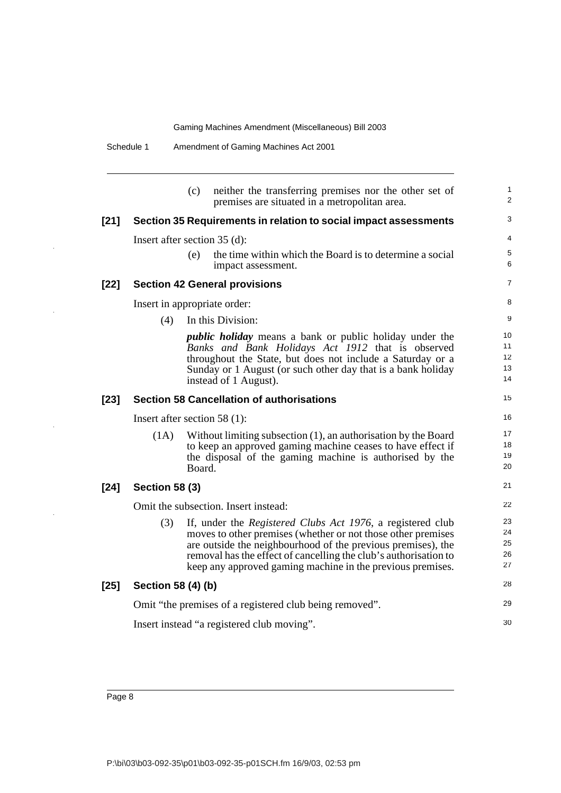|        |                                                         | (c)    | neither the transferring premises nor the other set of<br>premises are situated in a metropolitan area.                                                                                                                                                                                                                      | 1<br>$\overline{c}$        |  |  |  |
|--------|---------------------------------------------------------|--------|------------------------------------------------------------------------------------------------------------------------------------------------------------------------------------------------------------------------------------------------------------------------------------------------------------------------------|----------------------------|--|--|--|
| $[21]$ |                                                         |        | Section 35 Requirements in relation to social impact assessments                                                                                                                                                                                                                                                             | 3                          |  |  |  |
|        | Insert after section $35$ (d):                          |        |                                                                                                                                                                                                                                                                                                                              |                            |  |  |  |
|        |                                                         | (e)    | the time within which the Board is to determine a social<br>impact assessment.                                                                                                                                                                                                                                               | 5<br>6                     |  |  |  |
| $[22]$ |                                                         |        | <b>Section 42 General provisions</b>                                                                                                                                                                                                                                                                                         | 7                          |  |  |  |
|        | Insert in appropriate order:                            |        |                                                                                                                                                                                                                                                                                                                              | 8                          |  |  |  |
|        | (4)                                                     |        | In this Division:                                                                                                                                                                                                                                                                                                            | 9                          |  |  |  |
|        |                                                         |        | <i>public holiday</i> means a bank or public holiday under the<br>Banks and Bank Holidays Act 1912 that is observed<br>throughout the State, but does not include a Saturday or a<br>Sunday or 1 August (or such other day that is a bank holiday<br>instead of 1 August).                                                   | 10<br>11<br>12<br>13<br>14 |  |  |  |
| $[23]$ |                                                         |        | <b>Section 58 Cancellation of authorisations</b>                                                                                                                                                                                                                                                                             | 15                         |  |  |  |
|        | Insert after section 58 $(1)$ :                         |        |                                                                                                                                                                                                                                                                                                                              | 16                         |  |  |  |
|        | (1A)                                                    | Board. | Without limiting subsection $(1)$ , an authorisation by the Board<br>to keep an approved gaming machine ceases to have effect if<br>the disposal of the gaming machine is authorised by the                                                                                                                                  | 17<br>18<br>19<br>20       |  |  |  |
| $[24]$ | <b>Section 58 (3)</b>                                   |        |                                                                                                                                                                                                                                                                                                                              | 21                         |  |  |  |
|        | Omit the subsection. Insert instead:                    |        |                                                                                                                                                                                                                                                                                                                              |                            |  |  |  |
|        | (3)                                                     |        | If, under the Registered Clubs Act 1976, a registered club<br>moves to other premises (whether or not those other premises<br>are outside the neighbourhood of the previous premises), the<br>removal has the effect of cancelling the club's authorisation to<br>keep any approved gaming machine in the previous premises. | 23<br>24<br>25<br>26<br>27 |  |  |  |
| $[25]$ | Section 58 (4) (b)                                      |        |                                                                                                                                                                                                                                                                                                                              | 28                         |  |  |  |
|        | Omit "the premises of a registered club being removed". |        |                                                                                                                                                                                                                                                                                                                              |                            |  |  |  |
|        |                                                         |        | Insert instead "a registered club moving".                                                                                                                                                                                                                                                                                   | 30                         |  |  |  |
|        |                                                         |        |                                                                                                                                                                                                                                                                                                                              |                            |  |  |  |

 $\overline{\phantom{a}}$ 

 $\bar{z}$ 

l,

P:\bi\03\b03-092-35\p01\b03-092-35-p01SCH.fm 16/9/03, 02:53 pm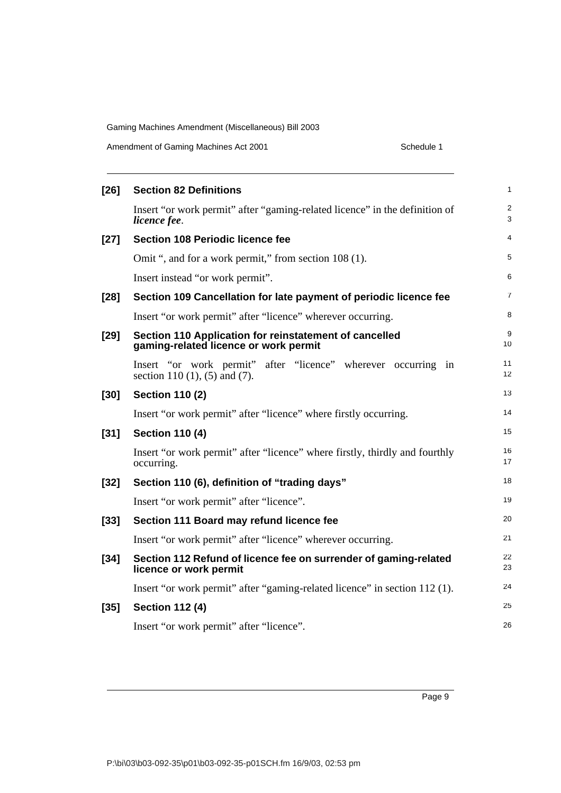| Amendment of Gaming Machines Act 2001 | Schedule 1 |
|---------------------------------------|------------|
|---------------------------------------|------------|

| $[26]$ | <b>Section 82 Definitions</b>                                                                          | $\mathbf{1}$   |
|--------|--------------------------------------------------------------------------------------------------------|----------------|
|        | Insert "or work permit" after "gaming-related licence" in the definition of<br>licence fee.            | 2<br>3         |
| $[27]$ | <b>Section 108 Periodic licence fee</b>                                                                | $\overline{4}$ |
|        | Omit ", and for a work permit," from section 108 (1).                                                  | 5              |
|        | Insert instead "or work permit".                                                                       | 6              |
| $[28]$ | Section 109 Cancellation for late payment of periodic licence fee                                      | $\overline{7}$ |
|        | Insert "or work permit" after "licence" wherever occurring.                                            | 8              |
| $[29]$ | Section 110 Application for reinstatement of cancelled<br>gaming-related licence or work permit        | 9<br>10        |
|        | Insert "or work permit" after "licence" wherever occurring in<br>section 110 $(1)$ , $(5)$ and $(7)$ . | 11<br>12       |
| $[30]$ | <b>Section 110 (2)</b>                                                                                 | 13             |
|        | Insert "or work permit" after "licence" where firstly occurring.                                       | 14             |
| $[31]$ | <b>Section 110 (4)</b>                                                                                 | 15             |
|        | Insert "or work permit" after "licence" where firstly, thirdly and fourthly<br>occurring.              | 16<br>17       |
| $[32]$ | Section 110 (6), definition of "trading days"                                                          | 18             |
|        | Insert "or work permit" after "licence".                                                               | 19             |
| $[33]$ | Section 111 Board may refund licence fee                                                               | 20             |
|        | Insert "or work permit" after "licence" wherever occurring.                                            | 21             |
| $[34]$ | Section 112 Refund of licence fee on surrender of gaming-related<br>licence or work permit             | 22<br>23       |
|        | Insert "or work permit" after "gaming-related licence" in section 112 (1).                             | 24             |
| $[35]$ | <b>Section 112 (4)</b>                                                                                 | 25             |
|        | Insert "or work permit" after "licence".                                                               | 26             |
|        |                                                                                                        |                |

Page 9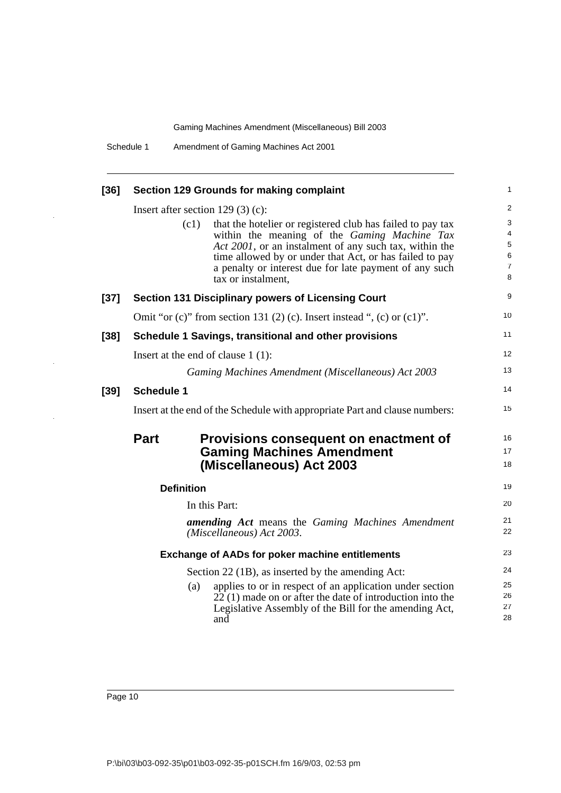|                                                                                                                      |                                                                                                                                                                      | 1                                                                                                                                                                                                                                                                                                                                                                                                                                                                                                                                                                                                                                                             |  |
|----------------------------------------------------------------------------------------------------------------------|----------------------------------------------------------------------------------------------------------------------------------------------------------------------|---------------------------------------------------------------------------------------------------------------------------------------------------------------------------------------------------------------------------------------------------------------------------------------------------------------------------------------------------------------------------------------------------------------------------------------------------------------------------------------------------------------------------------------------------------------------------------------------------------------------------------------------------------------|--|
| (c1)                                                                                                                 | that the hotelier or registered club has failed to pay tax<br>within the meaning of the Gaming Machine Tax<br>Act 2001, or an instalment of any such tax, within the | $\overline{c}$<br>3<br>4<br>5                                                                                                                                                                                                                                                                                                                                                                                                                                                                                                                                                                                                                                 |  |
|                                                                                                                      | a penalty or interest due for late payment of any such<br>tax or instalment,                                                                                         | 6<br>7<br>8                                                                                                                                                                                                                                                                                                                                                                                                                                                                                                                                                                                                                                                   |  |
|                                                                                                                      |                                                                                                                                                                      | 9                                                                                                                                                                                                                                                                                                                                                                                                                                                                                                                                                                                                                                                             |  |
|                                                                                                                      |                                                                                                                                                                      | 10                                                                                                                                                                                                                                                                                                                                                                                                                                                                                                                                                                                                                                                            |  |
|                                                                                                                      |                                                                                                                                                                      | 11                                                                                                                                                                                                                                                                                                                                                                                                                                                                                                                                                                                                                                                            |  |
|                                                                                                                      |                                                                                                                                                                      | 12                                                                                                                                                                                                                                                                                                                                                                                                                                                                                                                                                                                                                                                            |  |
|                                                                                                                      |                                                                                                                                                                      | 13                                                                                                                                                                                                                                                                                                                                                                                                                                                                                                                                                                                                                                                            |  |
| <b>Schedule 1</b>                                                                                                    |                                                                                                                                                                      | 14                                                                                                                                                                                                                                                                                                                                                                                                                                                                                                                                                                                                                                                            |  |
|                                                                                                                      |                                                                                                                                                                      | 15                                                                                                                                                                                                                                                                                                                                                                                                                                                                                                                                                                                                                                                            |  |
| <b>Part</b><br>Provisions consequent on enactment of<br><b>Gaming Machines Amendment</b><br>(Miscellaneous) Act 2003 |                                                                                                                                                                      |                                                                                                                                                                                                                                                                                                                                                                                                                                                                                                                                                                                                                                                               |  |
|                                                                                                                      |                                                                                                                                                                      | 19                                                                                                                                                                                                                                                                                                                                                                                                                                                                                                                                                                                                                                                            |  |
|                                                                                                                      |                                                                                                                                                                      | 20                                                                                                                                                                                                                                                                                                                                                                                                                                                                                                                                                                                                                                                            |  |
|                                                                                                                      |                                                                                                                                                                      | 21<br>22                                                                                                                                                                                                                                                                                                                                                                                                                                                                                                                                                                                                                                                      |  |
| <b>Exchange of AADs for poker machine entitlements</b>                                                               |                                                                                                                                                                      |                                                                                                                                                                                                                                                                                                                                                                                                                                                                                                                                                                                                                                                               |  |
|                                                                                                                      | Section 22 (1B), as inserted by the amending Act:                                                                                                                    | 24                                                                                                                                                                                                                                                                                                                                                                                                                                                                                                                                                                                                                                                            |  |
|                                                                                                                      |                                                                                                                                                                      |                                                                                                                                                                                                                                                                                                                                                                                                                                                                                                                                                                                                                                                               |  |
|                                                                                                                      |                                                                                                                                                                      | <b>Section 129 Grounds for making complaint</b><br>Insert after section $129(3)(c)$ :<br>time allowed by or under that Act, or has failed to pay<br><b>Section 131 Disciplinary powers of Licensing Court</b><br>Omit "or $(c)$ " from section 131 (2) (c). Insert instead ", $(c)$ or $(c1)$ ".<br>Schedule 1 Savings, transitional and other provisions<br>Insert at the end of clause $1(1)$ :<br>Gaming Machines Amendment (Miscellaneous) Act 2003<br>Insert at the end of the Schedule with appropriate Part and clause numbers:<br><b>Definition</b><br>In this Part:<br>amending Act means the Gaming Machines Amendment<br>(Miscellaneous) Act 2003. |  |

 $\ddot{\phantom{1}}$